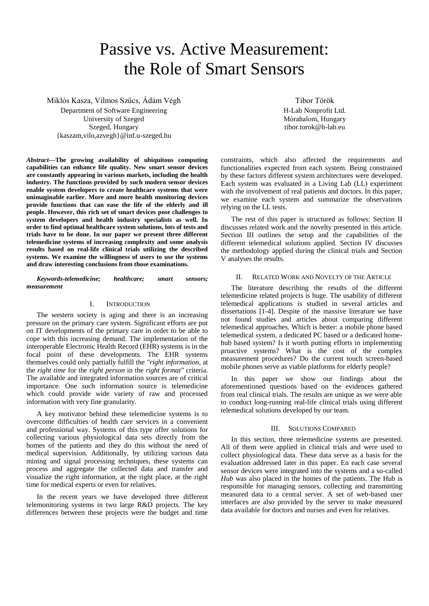# Passive vs. Active Measurement: the Role of Smart Sensors

Miklós Kasza, Vilmos Szűcs, Ádám Végh

Department of Software Engineering University of Szeged Szeged, Hungary {kaszam,vilo,azvegh}@inf.u-szeged.hu

*Abstract***—The growing availability of ubiquitous computing capabilities can enhance life quality. New smart sensor devices are constantly appearing in various markets, including the health industry. The functions provided by such modern sensor devices enable system developers to create healthcare systems that were unimaginable earlier. More and more health monitoring devices provide functions that can ease the life of the elderly and ill people. However, this rich set of smart devices pose challenges to system developers and health industry specialists as well. In order to find optimal healthcare system solutions, lots of tests and trials have to be done. In our paper we present three different telemedicine systems of increasing complexity and some analysis results based on real-life clinical trials utilizing the described systems. We examine the willingness of users to use the systems and draw interesting conclusions from those examinations.**

*Keywords-telemedicine; healthcare; smart sensors; measurement*

## I. INTRODUCTION

The western society is aging and there is an increasing pressure on the primary care system. Significant efforts are put on IT developments of the primary care in order to be able to cope with this increasing demand. The implementation of the interoperable Electronic Health Record (EHR) systems is in the focal point of these developments. The EHR systems themselves could only partially fulfill the *"right information,* at the *right time* for the *right person* in the *right format"* criteria. The available and integrated information sources are of critical importance. One such information source is telemedicine which could provide wide variety of raw and processed information with very fine granularity.

A key motivator behind these telemedicine systems is to overcome difficulties of health care services in a convenient and professional way. Systems of this type offer solutions for collecting various physiological data sets directly from the homes of the patients and they do this without the need of medical supervision. Additionally, by utilizing various data mining and signal processing techniques, these systems can process and aggregate the collected data and transfer and visualize the right information, at the right place, at the right time for medical experts or even for relatives.

In the recent years we have developed three different telemonitoring systems in two large R&D projects. The key differences between these projects were the budget and time

Tibor Török H-Lab Nonprofit Ltd. Mórahalom, Hungary tibor.torok@h-lab.eu

constraints, which also affected the requirements and functionalities expected from each system. Being constrained by these factors different system architectures were developed. Each system was evaluated in a Living Lab (LL) experiment with the involvement of real patients and doctors. In this paper, we examine each system and summarize the observations relying on the LL tests.

The rest of this paper is structured as follows: Section II discusses related work and the novelty presented in this article. Section III outlines the setup and the capabilities of the different telemedical solutions applied. Section IV discusses the methodology applied during the clinical trials and Section V analyses the results.

#### II. RELATED WORK AND NOVELTY OF THE ARTICLE

The literature describing the results of the different telemedicine related projects is huge. The usability of different telemedical applications is studied in several articles and dissertations [1-4]. Despite of the massive literature we have not found studies and articles about comparing different telemedical approaches. Which is better: a mobile phone based telemedical system, a dedicated PC based or a dedicated homehub based system? Is it worth putting efforts in implementing proactive systems? What is the cost of the complex measurement procedures? Do the current touch screen-based mobile phones serve as viable platforms for elderly people?

In this paper we show our findings about the aforementioned questions based on the evidences gathered from real clinical trials. The results are unique as we were able to conduct long-running real-life clinical trials using different telemedical solutions developed by our team.

## III. SOLUTIONS COMPARED

In this section, three telemedicine systems are presented. All of them were applied in clinical trials and were used to collect physiological data. These data serve as a basis for the evaluation addressed later in this paper. En each case several sensor devices were integrated into the systems and a so-called *Hub* was also placed in the homes of the patients. The Hub is responsible for managing sensors, collecting and transmitting measured data to a central server. A set of web-based user interfaces are also provided by the server to make measured data available for doctors and nurses and even for relatives.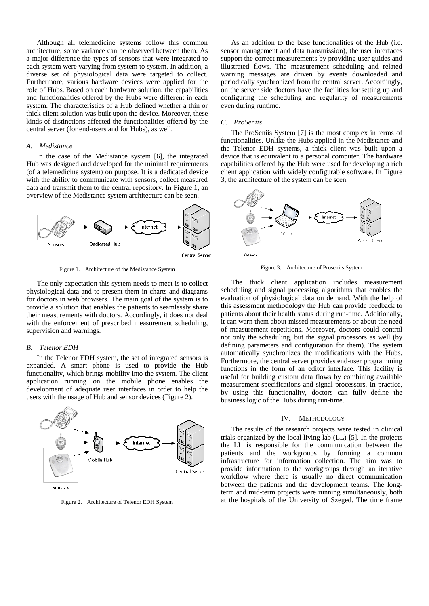Although all telemedicine systems follow this common architecture, some variance can be observed between them. As a major difference the types of sensors that were integrated to each system were varying from system to system. In addition, a diverse set of physiological data were targeted to collect. Furthermore, various hardware devices were applied for the role of Hubs. Based on each hardware solution, the capabilities and functionalities offered by the Hubs were different in each system. The characteristics of a Hub defined whether a thin or thick client solution was built upon the device. Moreover, these kinds of distinctions affected the functionalities offered by the central server (for end-users and for Hubs), as well.

#### *A. Medistance*

In the case of the Medistance system [6], the integrated Hub was designed and developed for the minimal requirements (of a telemedicine system) on purpose. It is a dedicated device with the ability to communicate with sensors, collect measured data and transmit them to the central repository. In Figure 1, an overview of the Medistance system architecture can be seen.



Figure 1. Architecture of the Medistance System

The only expectation this system needs to meet is to collect physiological data and to present them in charts and diagrams for doctors in web browsers. The main goal of the system is to provide a solution that enables the patients to seamlessly share their measurements with doctors. Accordingly, it does not deal with the enforcement of prescribed measurement scheduling, supervision and warnings.

#### *B. Telenor EDH*

In the Telenor EDH system, the set of integrated sensors is expanded. A smart phone is used to provide the Hub functionality, which brings mobility into the system. The client application running on the mobile phone enables the development of adequate user interfaces in order to help the users with the usage of Hub and sensor devices (Figure 2).



Sensors

Figure 2. Architecture of Telenor EDH System

As an addition to the base functionalities of the Hub (i.e. sensor management and data transmission), the user interfaces support the correct measurements by providing user guides and illustrated flows. The measurement scheduling and related warning messages are driven by events downloaded and periodically synchronized from the central server. Accordingly, on the server side doctors have the facilities for setting up and configuring the scheduling and regularity of measurements even during runtime.

#### *C. ProSeniis*

The ProSeniis System [7] is the most complex in terms of functionalities. Unlike the Hubs applied in the Medistance and the Telenor EDH systems, a thick client was built upon a device that is equivalent to a personal computer. The hardware capabilities offered by the Hub were used for developing a rich client application with widely configurable software. In Figure 3, the architecture of the system can be seen.



Figure 3. Architecture of Proseniis System

The thick client application includes measurement scheduling and signal processing algorithms that enables the evaluation of physiological data on demand. With the help of this assessment methodology the Hub can provide feedback to patients about their health status during run-time. Additionally, it can warn them about missed measurements or about the need of measurement repetitions. Moreover, doctors could control not only the scheduling, but the signal processors as well (by defining parameters and configuration for them). The system automatically synchronizes the modifications with the Hubs. Furthermore, the central server provides end-user programming functions in the form of an editor interface. This facility is useful for building custom data flows by combining available measurement specifications and signal processors. In practice, by using this functionality, doctors can fully define the business logic of the Hubs during run-time.

#### IV. METHODOLOGY

The results of the research projects were tested in clinical trials organized by the local living lab (LL) [5]. In the projects the LL is responsible for the communication between the patients and the workgroups by forming a common infrastructure for information collection. The aim was to provide information to the workgroups through an iterative workflow where there is usually no direct communication between the patients and the development teams. The longterm and mid-term projects were running simultaneously, both at the hospitals of the University of Szeged. The time frame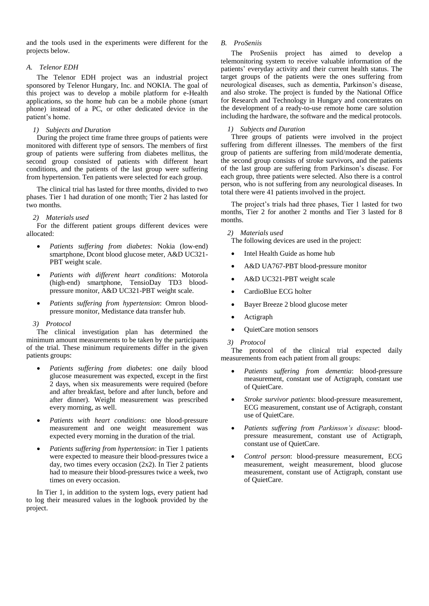and the tools used in the experiments were different for the projects below.

## *A. Telenor EDH*

The Telenor EDH project was an industrial project sponsored by Telenor Hungary, Inc. and NOKIA. The goal of this project was to develop a mobile platform for e-Health applications, so the home hub can be a mobile phone (smart phone) instead of a PC, or other dedicated device in the patient's home.

# *1) Subjects and Duration*

During the project time frame three groups of patients were monitored with different type of sensors. The members of first group of patients were suffering from diabetes mellitus, the second group consisted of patients with different heart conditions, and the patients of the last group were suffering from hypertension. Ten patients were selected for each group.

The clinical trial has lasted for three months, divided to two phases. Tier 1 had duration of one month; Tier 2 has lasted for two months.

# *2) Materials used*

For the different patient groups different devices were allocated:

- *Patients suffering from diabetes*: Nokia (low-end) smartphone, Dcont blood glucose meter, A&D UC321- PBT weight scale.
- *Patients with different heart conditions*: Motorola (high-end) smartphone, TensioDay TD3 bloodpressure monitor, A&D UC321-PBT weight scale.
- *Patients suffering from hypertension*: Omron bloodpressure monitor, Medistance data transfer hub.

# *3) Protocol*

The clinical investigation plan has determined the minimum amount measurements to be taken by the participants of the trial. These minimum requirements differ in the given patients groups:

- *Patients suffering from diabetes*: one daily blood glucose measurement was expected, except in the first 2 days, when six measurements were required (before and after breakfast, before and after lunch, before and after dinner). Weight measurement was prescribed every morning, as well.
- *Patients with heart conditions*: one blood-pressure measurement and one weight measurement was expected every morning in the duration of the trial.
- *Patients suffering from hypertension*: in Tier 1 patients were expected to measure their blood-pressures twice a day, two times every occasion (2x2). In Tier 2 patients had to measure their blood-pressures twice a week, two times on every occasion.

In Tier 1, in addition to the system logs, every patient had to log their measured values in the logbook provided by the project.

# *B. ProSeniis*

The ProSeniis project has aimed to develop a telemonitoring system to receive valuable information of the patients' everyday activity and their current health status. The target groups of the patients were the ones suffering from neurological diseases, such as dementia, Parkinson"s disease, and also stroke. The project is funded by the National Office for Research and Technology in Hungary and concentrates on the development of a ready-to-use remote home care solution including the hardware, the software and the medical protocols.

# *1) Subjects and Duration*

Three groups of patients were involved in the project suffering from different illnesses. The members of the first group of patients are suffering from mild/moderate dementia, the second group consists of stroke survivors, and the patients of the last group are suffering from Parkinson"s disease. For each group, three patients were selected. Also there is a control person, who is not suffering from any neurological diseases. In total there were 41 patients involved in the project.

The project's trials had three phases, Tier 1 lasted for two months, Tier 2 for another 2 months and Tier 3 lasted for 8 months.

*2) Materials used*

The following devices are used in the project:

- Intel Health Guide as home hub
- A&D UA767-PBT blood-pressure monitor
- A&D UC321-PBT weight scale
- CardioBlue ECG holter
- Bayer Breeze 2 blood glucose meter
- Actigraph
- OuietCare motion sensors

## *3) Protocol*

The protocol of the clinical trial expected daily measurements from each patient from all groups:

- *Patients suffering from dementia*: blood-pressure measurement, constant use of Actigraph, constant use of QuietCare.
- *Stroke survivor patients*: blood-pressure measurement, ECG measurement, constant use of Actigraph, constant use of QuietCare.
- *Patients suffering from Parkinson's disease*: bloodpressure measurement, constant use of Actigraph, constant use of QuietCare.
- *Control person*: blood-pressure measurement, ECG measurement, weight measurement, blood glucose measurement, constant use of Actigraph, constant use of QuietCare.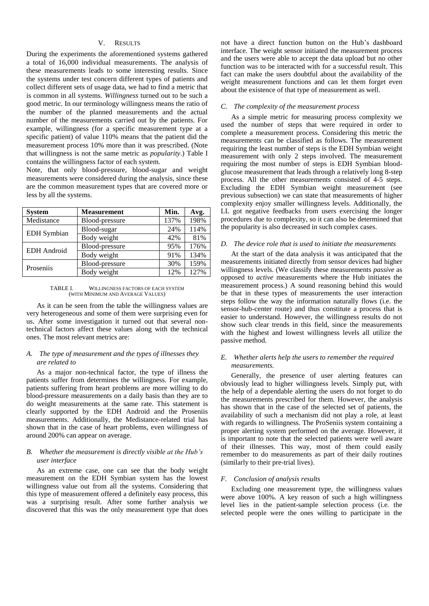# V. RESULTS

During the experiments the aforementioned systems gathered a total of 16,000 individual measurements. The analysis of these measurements leads to some interesting results. Since the systems under test concern different types of patients and collect different sets of usage data, we had to find a metric that is common in all systems. *Willingness* turned out to be such a good metric. In our terminology willingness means the ratio of the number of the planned measurements and the actual number of the measurements carried out by the patients. For example, willingness (for a specific measurement type at a specific patient) of value 110% means that the patient did the measurement process 10% more than it was prescribed. (Note that willingness is not the same metric as *popularity*.) Table I contains the willingness factor of each system.

Note, that only blood-pressure, blood-sugar and weight measurements were considered during the analysis, since these are the common measurement types that are covered more or less by all the systems.

| <b>System</b>      | <b>Measurement</b> | Min. | Avg. |
|--------------------|--------------------|------|------|
| Medistance         | Blood-pressure     | 137% | 198% |
| <b>EDH</b> Symbian | Blood-sugar        | 24%  | 114% |
|                    | Body weight        | 42%  | 81%  |
| <b>EDH</b> Android | Blood-pressure     | 95%  | 176% |
|                    | Body weight        | 91%  | 134% |
| Proseniis          | Blood-pressure     | 30%  | 159% |
|                    | Body weight        | 12%  | 127% |

TABLE I. WILLINGNESS FACTORS OF EACH SYSTEM (WITH MINIMUM AND AVERAGE VALUES)

As it can be seen from the table the willingness values are very heterogeneous and some of them were surprising even for us. After some investigation it turned out that several nontechnical factors affect these values along with the technical ones. The most relevant metrics are:

## *A. The type of measurement and the types of illnesses they are related to*

As a major non-technical factor, the type of illness the patients suffer from determines the willingness. For example, patients suffering from heart problems are more willing to do blood-pressure measurements on a daily basis than they are to do weight measurements at the same rate. This statement is clearly supported by the EDH Android and the Proseniis measurements. Additionally, the Medistance-related trial has shown that in the case of heart problems, even willingness of around 200% can appear on average.

## *B. Whether the measurement is directly visible at the Hub's user interface*

As an extreme case, one can see that the body weight measurement on the EDH Symbian system has the lowest willingness value out from all the systems. Considering that this type of measurement offered a definitely easy process, this was a surprising result. After some further analysis we discovered that this was the only measurement type that does not have a direct function button on the Hub"s dashboard interface. The weight sensor initiated the measurement process and the users were able to accept the data upload but no other function was to be interacted with for a successful result. This fact can make the users doubtful about the availability of the weight measurement functions and can let them forget even about the existence of that type of measurement as well.

## *C. The complexity of the measurement process*

As a simple metric for measuring process complexity we used the number of steps that were required in order to complete a measurement process. Considering this metric the measurements can be classified as follows. The measurement requiring the least number of steps is the EDH Symbian weight measurement with only 2 steps involved. The measurement requiring the most number of steps is EDH Symbian bloodglucose measurement that leads through a relatively long 8-step process. All the other measurements consisted of 4-5 steps. Excluding the EDH Symbian weight measurement (see previous subsection) we can state that measurements of higher complexity enjoy smaller willingness levels. Additionally, the LL got negative feedbacks from users exercising the longer procedures due to complexity, so it can also be determined that the popularity is also decreased in such complex cases.

### *D. The device role that is used to initiate the measurements*

At the start of the data analysis it was anticipated that the measurements initiated directly from sensor devices had higher willingness levels. (We classify these measurements *passive* as opposed to *active* measurements where the Hub initiates the measurement process.) A sound reasoning behind this would be that in these types of measurements the user interaction steps follow the way the information naturally flows (i.e. the sensor-hub-center route) and thus constitute a process that is easier to understand. However, the willingness results do not show such clear trends in this field, since the measurements with the highest and lowest willingness levels all utilize the passive method.

# *E. Whether alerts help the users to remember the required measurements.*

Generally, the presence of user alerting features can obviously lead to higher willingness levels. Simply put, with the help of a dependable alerting the users do not forget to do the measurements prescribed for them. However, the analysis has shown that in the case of the selected set of patients, the availability of such a mechanism did not play a role, at least with regards to willingness. The ProSeniis system containing a proper alerting system performed on the average. However, it is important to note that the selected patients were well aware of their illnesses. This way, most of them could easily remember to do measurements as part of their daily routines (similarly to their pre-trial lives).

## *F. Conclusion of analysis results*

Excluding one measurement type, the willingness values were above 100%. A key reason of such a high willingness level lies in the patient-sample selection process (i.e. the selected people were the ones willing to participate in the